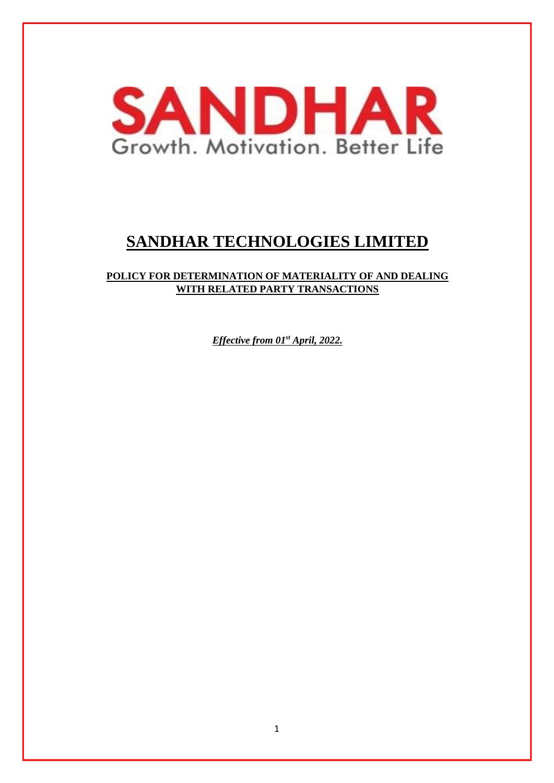

# **SANDHAR TECHNOLOGIES LIMITED**

# **POLICY FOR DETERMINATION OF MATERIALITY OF AND DEALING WITH RELATED PARTY TRANSACTIONS**

*Effective from 01st April, 2022.*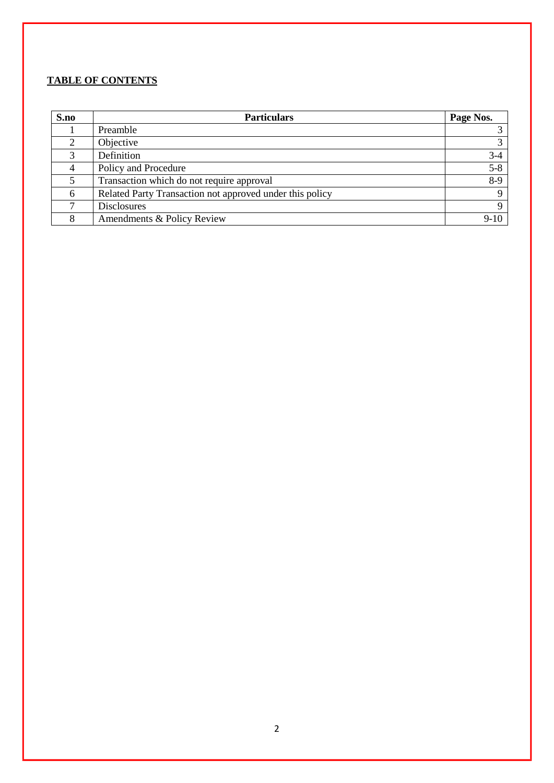# **TABLE OF CONTENTS**

| S.no | <b>Particulars</b>                                       | Page Nos.   |
|------|----------------------------------------------------------|-------------|
|      | Preamble                                                 |             |
|      | Objective                                                |             |
| 3    | Definition                                               | $3-4$       |
| 4    | Policy and Procedure                                     | $5 - 8$     |
|      | Transaction which do not require approval                | $8-9$       |
| 6    | Related Party Transaction not approved under this policy | $\Omega$    |
|      | <b>Disclosures</b>                                       | $\mathbf Q$ |
|      | Amendments & Policy Review                               | $9-10$      |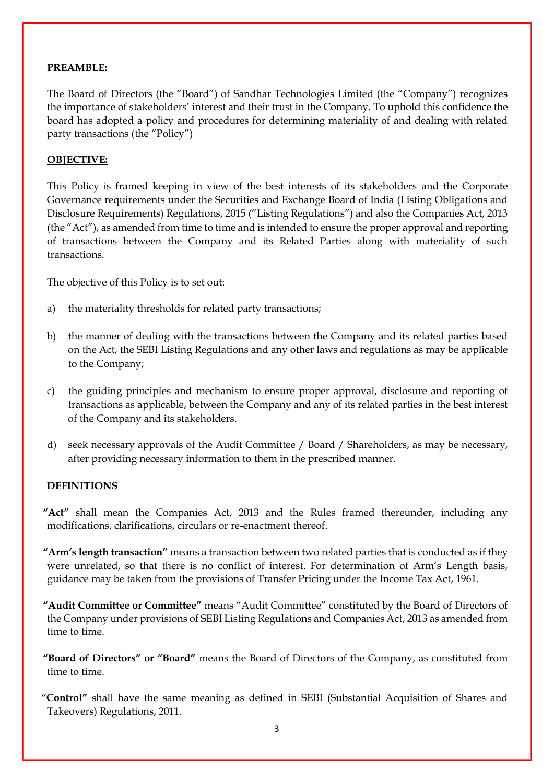#### **PREAMBLE:**

The Board of Directors (the "Board") of Sandhar Technologies Limited (the "Company") recognizes the importance of stakeholders' interest and their trust in the Company. To uphold this confidence the board has adopted a policy and procedures for determining materiality of and dealing with related party transactions (the "Policy")

#### **OBJECTIVE:**

This Policy is framed keeping in view of the best interests of its stakeholders and the Corporate Governance requirements under the Securities and Exchange Board of India (Listing Obligations and Disclosure Requirements) Regulations, 2015 ("Listing Regulations") and also the Companies Act, 2013 (the "Act"), as amended from time to time and is intended to ensure the proper approval and reporting of transactions between the Company and its Related Parties along with materiality of such transactions.

The objective of this Policy is to set out:

- a) the materiality thresholds for related party transactions;
- b) the manner of dealing with the transactions between the Company and its related parties based on the Act, the SEBI Listing Regulations and any other laws and regulations as may be applicable to the Company;
- c) the guiding principles and mechanism to ensure proper approval, disclosure and reporting of transactions as applicable, between the Company and any of its related parties in the best interest of the Company and its stakeholders.
- d) seek necessary approvals of the Audit Committee / Board / Shareholders, as may be necessary, after providing necessary information to them in the prescribed manner.

#### **DEFINITIONS**

**"Act"** shall mean the Companies Act, 2013 and the Rules framed thereunder, including any modifications, clarifications, circulars or re-enactment thereof.

- **"Arm's length transaction"** means a transaction between two related parties that is conducted as if they were unrelated, so that there is no conflict of interest. For determination of Arm's Length basis, guidance may be taken from the provisions of Transfer Pricing under the Income Tax Act, 1961.
- **"Audit Committee or Committee"** means "Audit Committee" constituted by the Board of Directors of the Company under provisions of SEBI Listing Regulations and Companies Act, 2013 as amended from time to time.
- **"Board of Directors" or "Board"** means the Board of Directors of the Company, as constituted from time to time.
- **"Control"** shall have the same meaning as defined in SEBI (Substantial Acquisition of Shares and Takeovers) Regulations, 2011.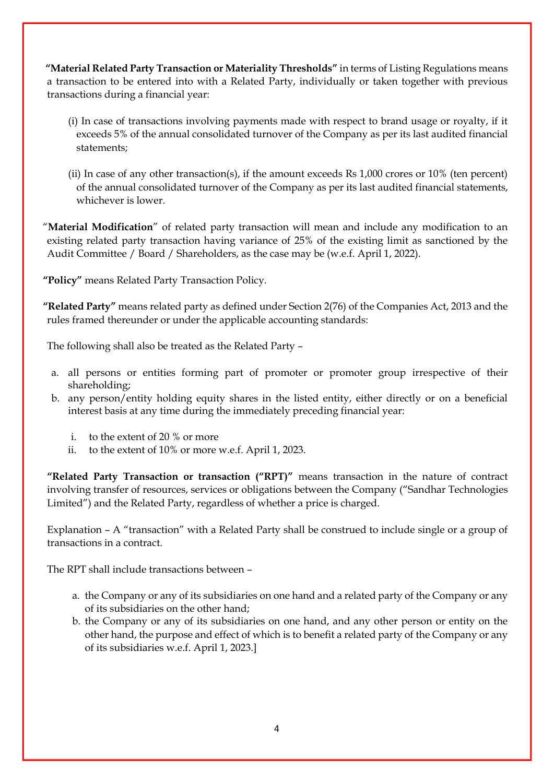**"Material Related Party Transaction or Materiality Thresholds"** in terms of Listing Regulations means a transaction to be entered into with a Related Party, individually or taken together with previous transactions during a financial year:

- (i) In case of transactions involving payments made with respect to brand usage or royalty, if it exceeds 5% of the annual consolidated turnover of the Company as per its last audited financial statements;
- (ii) In case of any other transaction(s), if the amount exceeds Rs 1,000 crores or 10% (ten percent) of the annual consolidated turnover of the Company as per its last audited financial statements, whichever is lower.

"**Material Modification**" of related party transaction will mean and include any modification to an existing related party transaction having variance of 25% of the existing limit as sanctioned by the Audit Committee / Board / Shareholders, as the case may be (w.e.f. April 1, 2022).

**"Policy"** means Related Party Transaction Policy.

**"Related Party"** means related party as defined under Section 2(76) of the Companies Act, 2013 and the rules framed thereunder or under the applicable accounting standards:

The following shall also be treated as the Related Party –

- a. all persons or entities forming part of promoter or promoter group irrespective of their shareholding;
- b. any person/entity holding equity shares in the listed entity, either directly or on a beneficial interest basis at any time during the immediately preceding financial year:
	- i. to the extent of 20 % or more
	- ii. to the extent of 10% or more w.e.f. April 1, 2023.

**"Related Party Transaction or transaction ("RPT)"** means transaction in the nature of contract involving transfer of resources, services or obligations between the Company ("Sandhar Technologies Limited") and the Related Party, regardless of whether a price is charged.

Explanation – A "transaction" with a Related Party shall be construed to include single or a group of transactions in a contract.

The RPT shall include transactions between –

- a. the Company or any of its subsidiaries on one hand and a related party of the Company or any of its subsidiaries on the other hand;
- b. the Company or any of its subsidiaries on one hand, and any other person or entity on the other hand, the purpose and effect of which is to benefit a related party of the Company or any of its subsidiaries w.e.f. April 1, 2023.]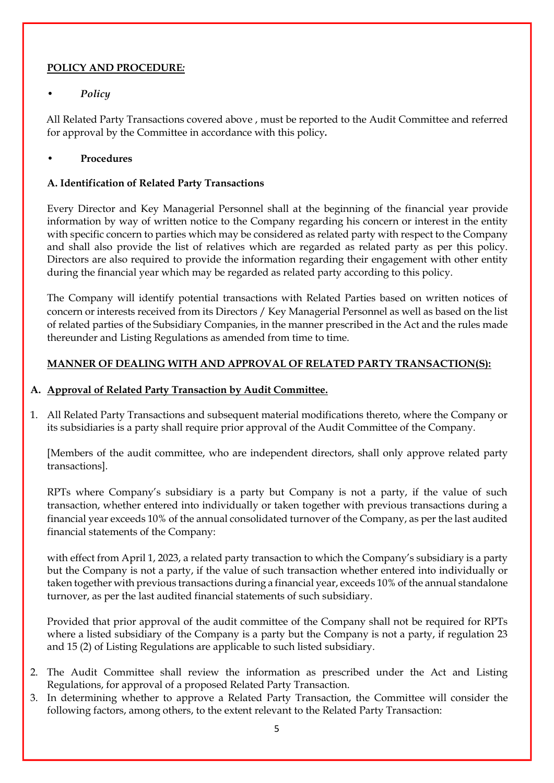# **POLICY AND PROCEDURE***:*

# • *Policy*

All Related Party Transactions covered above , must be reported to the Audit Committee and referred for approval by the Committee in accordance with this policy*.*

# • **Procedures**

### **A. Identification of Related Party Transactions**

Every Director and Key Managerial Personnel shall at the beginning of the financial year provide information by way of written notice to the Company regarding his concern or interest in the entity with specific concern to parties which may be considered as related party with respect to the Company and shall also provide the list of relatives which are regarded as related party as per this policy. Directors are also required to provide the information regarding their engagement with other entity during the financial year which may be regarded as related party according to this policy.

The Company will identify potential transactions with Related Parties based on written notices of concern or interests received from its Directors / Key Managerial Personnel as well as based on the list of related parties of the Subsidiary Companies, in the manner prescribed in the Act and the rules made thereunder and Listing Regulations as amended from time to time.

# **MANNER OF DEALING WITH AND APPROVAL OF RELATED PARTY TRANSACTION(S):**

# **A. Approval of Related Party Transaction by Audit Committee.**

1. All Related Party Transactions and subsequent material modifications thereto, where the Company or its subsidiaries is a party shall require prior approval of the Audit Committee of the Company.

[Members of the audit committee, who are independent directors, shall only approve related party transactions].

RPTs where Company's subsidiary is a party but Company is not a party, if the value of such transaction, whether entered into individually or taken together with previous transactions during a financial year exceeds 10% of the annual consolidated turnover of the Company, as per the last audited financial statements of the Company:

with effect from April 1, 2023, a related party transaction to which the Company's subsidiary is a party but the Company is not a party, if the value of such transaction whether entered into individually or taken together with previous transactions during a financial year, exceeds 10% of the annual standalone turnover, as per the last audited financial statements of such subsidiary.

Provided that prior approval of the audit committee of the Company shall not be required for RPTs where a listed subsidiary of the Company is a party but the Company is not a party, if regulation 23 and 15 (2) of Listing Regulations are applicable to such listed subsidiary.

- 2. The Audit Committee shall review the information as prescribed under the Act and Listing Regulations, for approval of a proposed Related Party Transaction.
- 3. In determining whether to approve a Related Party Transaction, the Committee will consider the following factors, among others, to the extent relevant to the Related Party Transaction: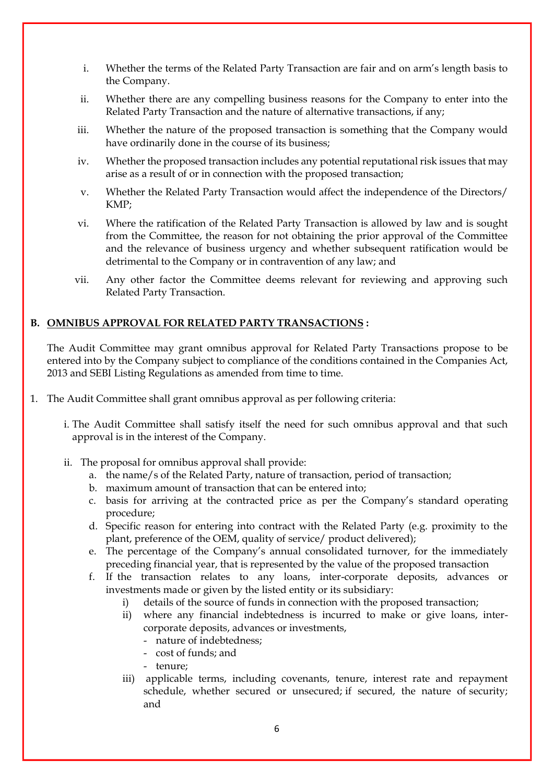- i. Whether the terms of the Related Party Transaction are fair and on arm's length basis to the Company.
- ii. Whether there are any compelling business reasons for the Company to enter into the Related Party Transaction and the nature of alternative transactions, if any;
- iii. Whether the nature of the proposed transaction is something that the Company would have ordinarily done in the course of its business;
- iv. Whether the proposed transaction includes any potential reputational risk issues that may arise as a result of or in connection with the proposed transaction;
- v. Whether the Related Party Transaction would affect the independence of the Directors/ KMP;
- vi. Where the ratification of the Related Party Transaction is allowed by law and is sought from the Committee, the reason for not obtaining the prior approval of the Committee and the relevance of business urgency and whether subsequent ratification would be detrimental to the Company or in contravention of any law; and
- vii. Any other factor the Committee deems relevant for reviewing and approving such Related Party Transaction.

#### **B. OMNIBUS APPROVAL FOR RELATED PARTY TRANSACTIONS :**

The Audit Committee may grant omnibus approval for Related Party Transactions propose to be entered into by the Company subject to compliance of the conditions contained in the Companies Act, 2013 and SEBI Listing Regulations as amended from time to time.

- 1. The Audit Committee shall grant omnibus approval as per following criteria:
	- i. The Audit Committee shall satisfy itself the need for such omnibus approval and that such approval is in the interest of the Company.
	- ii. The proposal for omnibus approval shall provide:
		- a. the name/s of the Related Party, nature of transaction, period of transaction;
		- b. maximum amount of transaction that can be entered into;
		- c. basis for arriving at the contracted price as per the Company's standard operating procedure;
		- d. Specific reason for entering into contract with the Related Party (e.g. proximity to the plant, preference of the OEM, quality of service/ product delivered);
		- e. The percentage of the Company's annual consolidated turnover, for the immediately preceding financial year, that is represented by the value of the proposed transaction
		- f. If the transaction relates to any loans, inter-corporate deposits, advances or investments made or given by the listed entity or its subsidiary:
			- i) details of the source of funds in connection with the proposed transaction;
			- ii) where any financial indebtedness is incurred to make or give loans, intercorporate deposits, advances or investments,
				- nature of indebtedness;
				- cost of funds; and
				- tenure;
			- iii) applicable terms, including covenants, tenure, interest rate and repayment schedule, whether secured or unsecured; if secured, the nature of security; and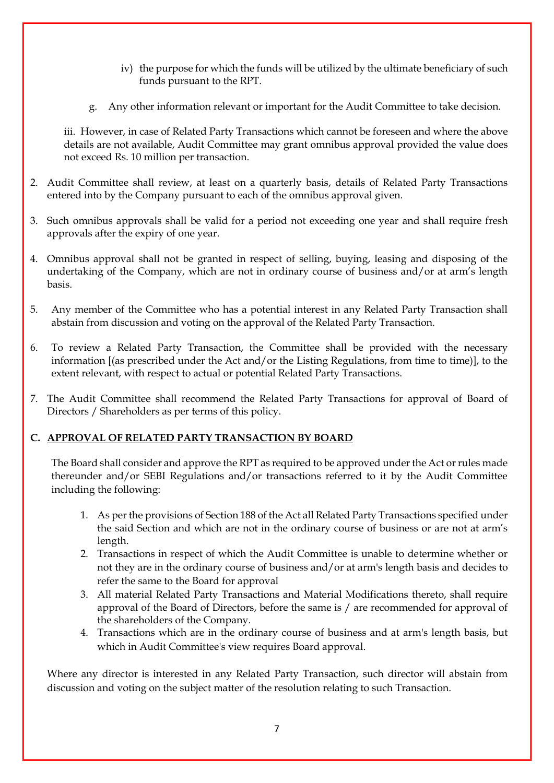- iv) the purpose for which the funds will be utilized by the ultimate beneficiary of such funds pursuant to the RPT.
- g. Any other information relevant or important for the Audit Committee to take decision.

iii. However, in case of Related Party Transactions which cannot be foreseen and where the above details are not available, Audit Committee may grant omnibus approval provided the value does not exceed Rs. 10 million per transaction.

- 2. Audit Committee shall review, at least on a quarterly basis, details of Related Party Transactions entered into by the Company pursuant to each of the omnibus approval given.
- 3. Such omnibus approvals shall be valid for a period not exceeding one year and shall require fresh approvals after the expiry of one year.
- 4. Omnibus approval shall not be granted in respect of selling, buying, leasing and disposing of the undertaking of the Company, which are not in ordinary course of business and/or at arm's length basis.
- 5. Any member of the Committee who has a potential interest in any Related Party Transaction shall abstain from discussion and voting on the approval of the Related Party Transaction.
- 6. To review a Related Party Transaction, the Committee shall be provided with the necessary information [(as prescribed under the Act and/or the Listing Regulations, from time to time)], to the extent relevant, with respect to actual or potential Related Party Transactions.
- 7. The Audit Committee shall recommend the Related Party Transactions for approval of Board of Directors / Shareholders as per terms of this policy.

#### **C. APPROVAL OF RELATED PARTY TRANSACTION BY BOARD**

The Board shall consider and approve the RPT as required to be approved under the Act or rules made thereunder and/or SEBI Regulations and/or transactions referred to it by the Audit Committee including the following:

- 1. As per the provisions of Section 188 of the Act all Related Party Transactions specified under the said Section and which are not in the ordinary course of business or are not at arm's length.
- 2. Transactions in respect of which the Audit Committee is unable to determine whether or not they are in the ordinary course of business and/or at arm's length basis and decides to refer the same to the Board for approval
- 3. All material Related Party Transactions and Material Modifications thereto, shall require approval of the Board of Directors, before the same is / are recommended for approval of the shareholders of the Company.
- 4. Transactions which are in the ordinary course of business and at arm's length basis, but which in Audit Committee's view requires Board approval.

Where any director is interested in any Related Party Transaction, such director will abstain from discussion and voting on the subject matter of the resolution relating to such Transaction.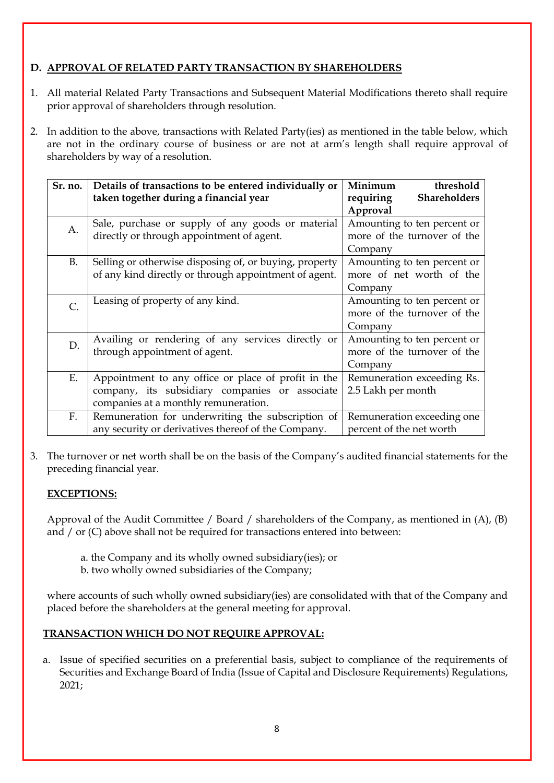# **D. APPROVAL OF RELATED PARTY TRANSACTION BY SHAREHOLDERS**

- 1. All material Related Party Transactions and Subsequent Material Modifications thereto shall require prior approval of shareholders through resolution.
- 2. In addition to the above, transactions with Related Party(ies) as mentioned in the table below, which are not in the ordinary course of business or are not at arm's length shall require approval of shareholders by way of a resolution.

| Sr. no.       | Details of transactions to be entered individually or<br>taken together during a financial year                                               | Minimum<br>threshold<br><b>Shareholders</b><br>requiring                          |
|---------------|-----------------------------------------------------------------------------------------------------------------------------------------------|-----------------------------------------------------------------------------------|
| A.            | Sale, purchase or supply of any goods or material<br>directly or through appointment of agent.                                                | Approval<br>Amounting to ten percent or<br>more of the turnover of the<br>Company |
| <b>B.</b>     | Selling or otherwise disposing of, or buying, property<br>of any kind directly or through appointment of agent.                               | Amounting to ten percent or<br>more of net worth of the<br>Company                |
| $\mathsf{C}.$ | Leasing of property of any kind.                                                                                                              | Amounting to ten percent or<br>more of the turnover of the<br>Company             |
| D.            | Availing or rendering of any services directly or<br>through appointment of agent.                                                            | Amounting to ten percent or<br>more of the turnover of the<br>Company             |
| Ε.            | Appointment to any office or place of profit in the<br>company, its subsidiary companies or associate<br>companies at a monthly remuneration. | Remuneration exceeding Rs.<br>2.5 Lakh per month                                  |
| $F_{\cdot}$   | Remuneration for underwriting the subscription of<br>any security or derivatives thereof of the Company.                                      | Remuneration exceeding one<br>percent of the net worth                            |

3. The turnover or net worth shall be on the basis of the Company's audited financial statements for the preceding financial year.

#### **EXCEPTIONS:**

Approval of the Audit Committee / Board / shareholders of the Company, as mentioned in (A), (B) and  $/$  or  $(C)$  above shall not be required for transactions entered into between:

- a. the Company and its wholly owned subsidiary(ies); or
- b. two wholly owned subsidiaries of the Company;

where accounts of such wholly owned subsidiary(ies) are consolidated with that of the Company and placed before the shareholders at the general meeting for approval.

# **TRANSACTION WHICH DO NOT REQUIRE APPROVAL:**

a. Issue of specified securities on a preferential basis, subject to compliance of the requirements of Securities and Exchange Board of India (Issue of Capital and Disclosure Requirements) Regulations, 2021;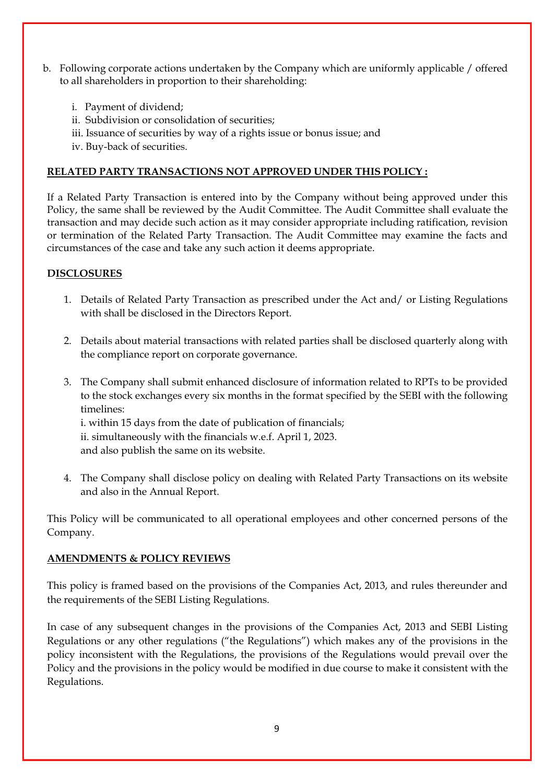- b. Following corporate actions undertaken by the Company which are uniformly applicable / offered to all shareholders in proportion to their shareholding:
	- i. Payment of dividend;
	- ii. Subdivision or consolidation of securities;
	- iii. Issuance of securities by way of a rights issue or bonus issue; and
	- iv. Buy-back of securities.

#### **RELATED PARTY TRANSACTIONS NOT APPROVED UNDER THIS POLICY :**

If a Related Party Transaction is entered into by the Company without being approved under this Policy, the same shall be reviewed by the Audit Committee. The Audit Committee shall evaluate the transaction and may decide such action as it may consider appropriate including ratification, revision or termination of the Related Party Transaction. The Audit Committee may examine the facts and circumstances of the case and take any such action it deems appropriate.

#### **DISCLOSURES**

- 1. Details of Related Party Transaction as prescribed under the Act and/ or Listing Regulations with shall be disclosed in the Directors Report.
- 2. Details about material transactions with related parties shall be disclosed quarterly along with the compliance report on corporate governance.
- 3. The Company shall submit enhanced disclosure of information related to RPTs to be provided to the stock exchanges every six months in the format specified by the SEBI with the following timelines:

i. within 15 days from the date of publication of financials; ii. simultaneously with the financials w.e.f. April 1, 2023. and also publish the same on its website.

4. The Company shall disclose policy on dealing with Related Party Transactions on its website and also in the Annual Report.

This Policy will be communicated to all operational employees and other concerned persons of the Company.

#### **AMENDMENTS & POLICY REVIEWS**

This policy is framed based on the provisions of the Companies Act, 2013, and rules thereunder and the requirements of the SEBI Listing Regulations.

In case of any subsequent changes in the provisions of the Companies Act, 2013 and SEBI Listing Regulations or any other regulations ("the Regulations") which makes any of the provisions in the policy inconsistent with the Regulations, the provisions of the Regulations would prevail over the Policy and the provisions in the policy would be modified in due course to make it consistent with the Regulations.